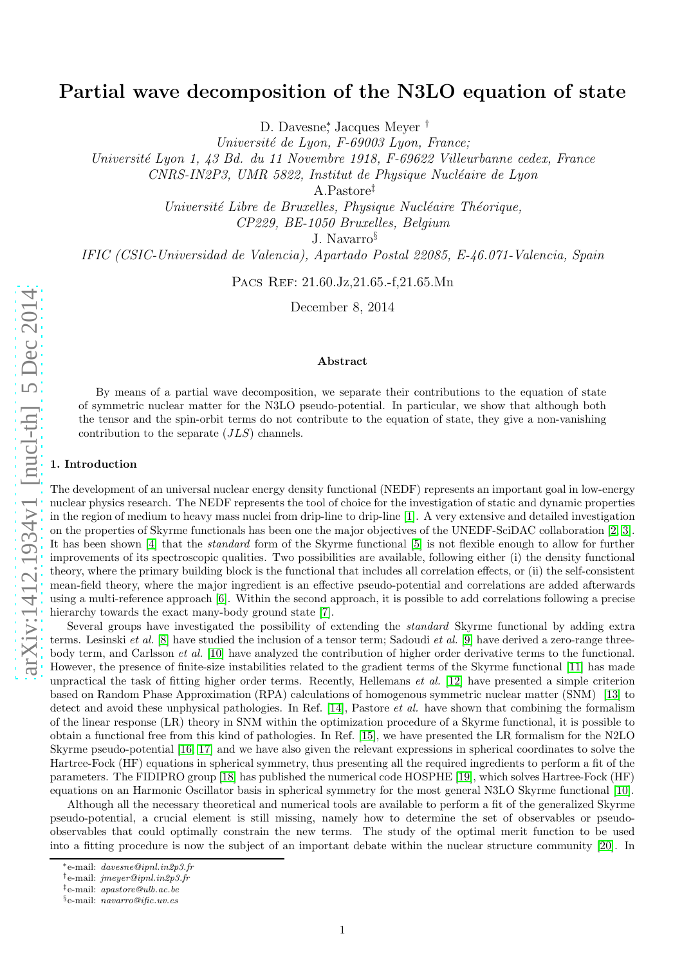# Partial wave decomposition of the N3LO equation of state

D. Davesne<sup>\*</sup>, Jacques Meyer<sup>†</sup>

Université de Lyon, F-69003 Lyon, France;

Université Lyon 1, 43 Bd. du 11 Novembre 1918, F-69622 Villeurbanne cedex, France

CNRS-IN2P3, UMR 5822, Institut de Physique Nucléaire de Lyon

A.Pastore ‡

Université Libre de Bruxelles, Physique Nucléaire Théorique,

CP229, BE-1050 Bruxelles, Belgium

J. Navarro §

IFIC (CSIC-Universidad de Valencia), Apartado Postal 22085, E-46.071-Valencia, Spain

PACS REF: 21.60.Jz, 21.65.-f, 21.65.Mn

December 8, 2014

## Abstract

By means of a partial wave decomposition, we separate their contributions to the equation of state of symmetric nuclear matter for the N3LO pseudo-potential. In particular, we show that although both the tensor and the spin-orbit terms do not contribute to the equation of state, they give a non-vanishing contribution to the separate (JLS) channels.

## 1. Introduction

The development of an universal nuclear energy density functional (NEDF) represents an important goal in low-energy nuclear physics research. The NEDF represents the tool of choice for the investigation of static and dynamic properties in the region of medium to heavy mass nuclei from drip-line to drip-line [\[1\]](#page-5-0). A very extensive and detailed investigation on the properties of Skyrme functionals has been one the major objectives of the UNEDF-SciDAC collaboration [\[2,](#page-5-1) [3\]](#page-5-2). It has been shown [\[4\]](#page-5-3) that the *standard* form of the Skyrme functional [\[5\]](#page-5-4) is not flexible enough to allow for further improvements of its spectroscopic qualities. Two possibilities are available, following either (i) the density functional theory, where the primary building block is the functional that includes all correlation effects, or (ii) the self-consistent mean-field theory, where the major ingredient is an effective pseudo-potential and correlations are added afterwards using a multi-reference approach [\[6\]](#page-6-0). Within the second approach, it is possible to add correlations following a precise hierarchy towards the exact many-body ground state [\[7\]](#page-6-1).

Several groups have investigated the possibility of extending the *standard* Skyrme functional by adding extra terms. Lesinski *et al.* [\[8\]](#page-6-2) have studied the inclusion of a tensor term; Sadoudi *et al.* [\[9\]](#page-6-3) have derived a zero-range threebody term, and Carlsson *et al.* [\[10\]](#page-6-4) have analyzed the contribution of higher order derivative terms to the functional. However, the presence of finite-size instabilities related to the gradient terms of the Skyrme functional [\[11\]](#page-6-5) has made unpractical the task of fitting higher order terms. Recently, Hellemans *et al.* [\[12\]](#page-6-6) have presented a simple criterion based on Random Phase Approximation (RPA) calculations of homogenous symmetric nuclear matter (SNM) [\[13\]](#page-6-7) to detect and avoid these unphysical pathologies. In Ref. [\[14\]](#page-6-8), Pastore *et al.* have shown that combining the formalism of the linear response (LR) theory in SNM within the optimization procedure of a Skyrme functional, it is possible to obtain a functional free from this kind of pathologies. In Ref. [\[15\]](#page-6-9), we have presented the LR formalism for the N2LO Skyrme pseudo-potential [\[16,](#page-6-10) [17\]](#page-6-11) and we have also given the relevant expressions in spherical coordinates to solve the Hartree-Fock (HF) equations in spherical symmetry, thus presenting all the required ingredients to perform a fit of the parameters. The FIDIPRO group [\[18\]](#page-6-12) has published the numerical code HOSPHE [\[19\]](#page-6-13), which solves Hartree-Fock (HF) equations on an Harmonic Oscillator basis in spherical symmetry for the most general N3LO Skyrme functional [\[10\]](#page-6-4).

Although all the necessary theoretical and numerical tools are available to perform a fit of the generalized Skyrme pseudo-potential, a crucial element is still missing, namely how to determine the set of observables or pseudoobservables that could optimally constrain the new terms. The study of the optimal merit function to be used into a fitting procedure is now the subject of an important debate within the nuclear structure community [\[20\]](#page-6-14). In

<sup>∗</sup>e-mail: davesne@ipnl.in2p3.fr

<sup>†</sup>e-mail: jmeyer@ipnl.in2p3.fr

<sup>‡</sup> e-mail: apastore@ulb.ac.be

<sup>§</sup>e-mail: navarro@ific.uv.es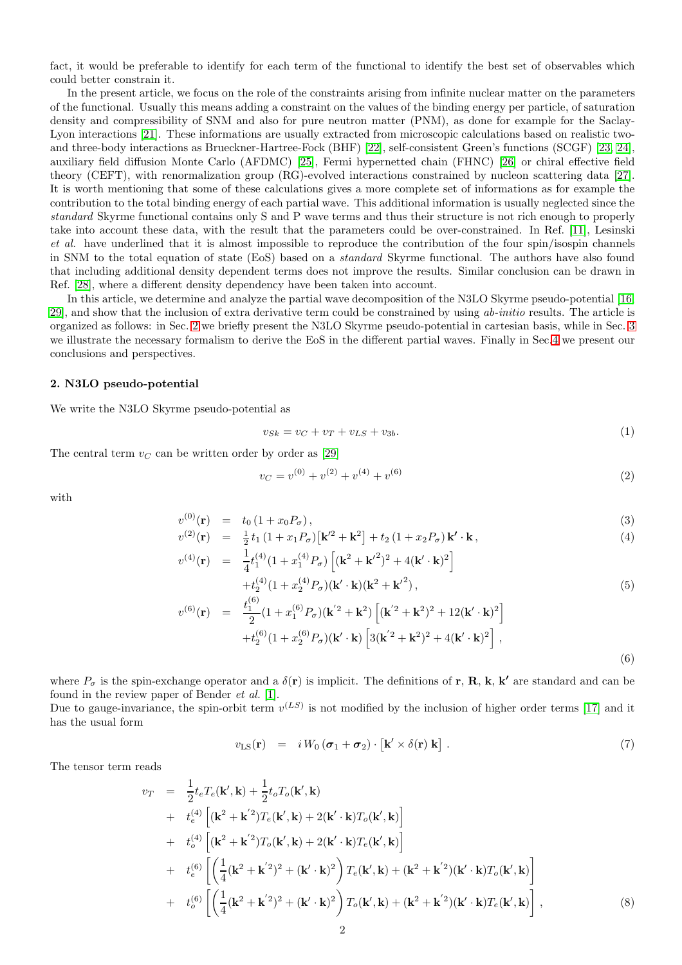fact, it would be preferable to identify for each term of the functional to identify the best set of observables which could better constrain it.

In the present article, we focus on the role of the constraints arising from infinite nuclear matter on the parameters of the functional. Usually this means adding a constraint on the values of the binding energy per particle, of saturation density and compressibility of SNM and also for pure neutron matter (PNM), as done for example for the Saclay-Lyon interactions [\[21\]](#page-6-15). These informations are usually extracted from microscopic calculations based on realistic twoand three-body interactions as Brueckner-Hartree-Fock (BHF) [\[22\]](#page-6-16), self-consistent Green's functions (SCGF) [\[23,](#page-6-17) [24\]](#page-6-18), auxiliary field diffusion Monte Carlo (AFDMC) [\[25\]](#page-6-19), Fermi hypernetted chain (FHNC) [\[26\]](#page-6-20) or chiral effective field theory (CEFT), with renormalization group (RG)-evolved interactions constrained by nucleon scattering data [\[27\]](#page-6-21). It is worth mentioning that some of these calculations gives a more complete set of informations as for example the contribution to the total binding energy of each partial wave. This additional information is usually neglected since the *standard* Skyrme functional contains only S and P wave terms and thus their structure is not rich enough to properly take into account these data, with the result that the parameters could be over-constrained. In Ref. [\[11\]](#page-6-5), Lesinski *et al.* have underlined that it is almost impossible to reproduce the contribution of the four spin/isospin channels in SNM to the total equation of state (EoS) based on a *standard* Skyrme functional. The authors have also found that including additional density dependent terms does not improve the results. Similar conclusion can be drawn in Ref. [\[28\]](#page-6-22), where a different density dependency have been taken into account.

In this article, we determine and analyze the partial wave decomposition of the N3LO Skyrme pseudo-potential [\[16,](#page-6-10) [29\]](#page-6-23), and show that the inclusion of extra derivative term could be constrained by using *ab-initio* results. The article is organized as follows: in Sec. [2](#page-1-0) we briefly present the N3LO Skyrme pseudo-potential in cartesian basis, while in Sec. [3](#page-2-0) we illustrate the necessary formalism to derive the EoS in the different partial waves. Finally in Sec[.4](#page-4-0) we present our conclusions and perspectives.

## <span id="page-1-0"></span>2. N3LO pseudo-potential

We write the N3LO Skyrme pseudo-potential as

<span id="page-1-1"></span>
$$
v_{Sk} = v_C + v_T + v_{LS} + v_{3b}.\tag{1}
$$

The central term  $v<sub>C</sub>$  can be written order by order as [\[29\]](#page-6-23)

<span id="page-1-2"></span>
$$
v_C = v^{(0)} + v^{(2)} + v^{(4)} + v^{(6)}
$$
\n<sup>(2)</sup>

with

$$
v^{(0)}(\mathbf{r}) = t_0 (1 + x_0 P_\sigma),
$$
  
\n
$$
v^{(2)}(\mathbf{r}) = \frac{1}{2} t_1 (1 + x_1 P_\sigma) [\mathbf{k'}^2 + \mathbf{k}^2] + t_2 (1 + x_2 P_\sigma) \mathbf{k'} \cdot \mathbf{k},
$$
\n(3)

$$
v^{(2)}(\mathbf{r}) = \frac{1}{2}t_1(1+x_1P_{\sigma})[\mathbf{k}'^2 + \mathbf{k}^2] + t_2(1+x_2P_{\sigma})\mathbf{k}' \cdot \mathbf{k},
$$
  
\n
$$
v^{(4)}(\mathbf{r}) = \frac{1}{4}t_1^{(4)}(1+x_1^{(4)}P_{\sigma})[(\mathbf{k}^2 + \mathbf{k}'^2)^2 + 4(\mathbf{k}' \cdot \mathbf{k})^2] + t_2^{(4)}(1+x_2^{(4)}P_{\sigma})(\mathbf{k}' \cdot \mathbf{k})(\mathbf{k}^2 + \mathbf{k}'^2),
$$
\n(5)

$$
v^{(6)}(\mathbf{r}) = \frac{t_1^{(6)}}{2} (1 + x_1^{(6)} P_{\sigma}) (\mathbf{k}'^2 + \mathbf{k}^2) \left[ (\mathbf{k}'^2 + \mathbf{k}^2)^2 + 12 (\mathbf{k}' \cdot \mathbf{k})^2 \right] + t_2^{(6)} (1 + x_2^{(6)} P_{\sigma}) (\mathbf{k}' \cdot \mathbf{k}) \left[ 3 (\mathbf{k}'^2 + \mathbf{k}^2)^2 + 4 (\mathbf{k}' \cdot \mathbf{k})^2 \right],
$$
\n(6)

where  $P_{\sigma}$  is the spin-exchange operator and a  $\delta(\mathbf{r})$  is implicit. The definitions of  $\mathbf{r}, \mathbf{R}, \mathbf{k}, \mathbf{k'}$  are standard and can be found in the review paper of Bender *et al.* [\[1\]](#page-5-0).

Due to gauge-invariance, the spin-orbit term  $v^{(LS)}$  is not modified by the inclusion of higher order terms [\[17\]](#page-6-11) and it has the usual form

<span id="page-1-3"></span>
$$
v_{\text{LS}}(\mathbf{r}) = i W_0 (\boldsymbol{\sigma}_1 + \boldsymbol{\sigma}_2) \cdot [\mathbf{k}' \times \delta(\mathbf{r}) \mathbf{k}]. \tag{7}
$$

The tensor term reads

$$
v_T = \frac{1}{2} t_e T_e(\mathbf{k}', \mathbf{k}) + \frac{1}{2} t_o T_o(\mathbf{k}', \mathbf{k}) + t_e^{(4)} \left[ (\mathbf{k}^2 + \mathbf{k}'^2) T_e(\mathbf{k}', \mathbf{k}) + 2(\mathbf{k}' \cdot \mathbf{k}) T_o(\mathbf{k}', \mathbf{k}) \right] + t_o^{(4)} \left[ (\mathbf{k}^2 + \mathbf{k}'^2) T_o(\mathbf{k}', \mathbf{k}) + 2(\mathbf{k}' \cdot \mathbf{k}) T_e(\mathbf{k}', \mathbf{k}) \right] + t_e^{(6)} \left[ \left( \frac{1}{4} (\mathbf{k}^2 + \mathbf{k}'^2)^2 + (\mathbf{k}' \cdot \mathbf{k})^2 \right) T_e(\mathbf{k}', \mathbf{k}) + (\mathbf{k}^2 + \mathbf{k}'^2)(\mathbf{k}' \cdot \mathbf{k}) T_o(\mathbf{k}', \mathbf{k}) \right] + t_o^{(6)} \left[ \left( \frac{1}{4} (\mathbf{k}^2 + \mathbf{k}'^2)^2 + (\mathbf{k}' \cdot \mathbf{k})^2 \right) T_o(\mathbf{k}', \mathbf{k}) + (\mathbf{k}^2 + \mathbf{k}'^2)(\mathbf{k}' \cdot \mathbf{k}) T_e(\mathbf{k}', \mathbf{k}) \right],
$$
(8)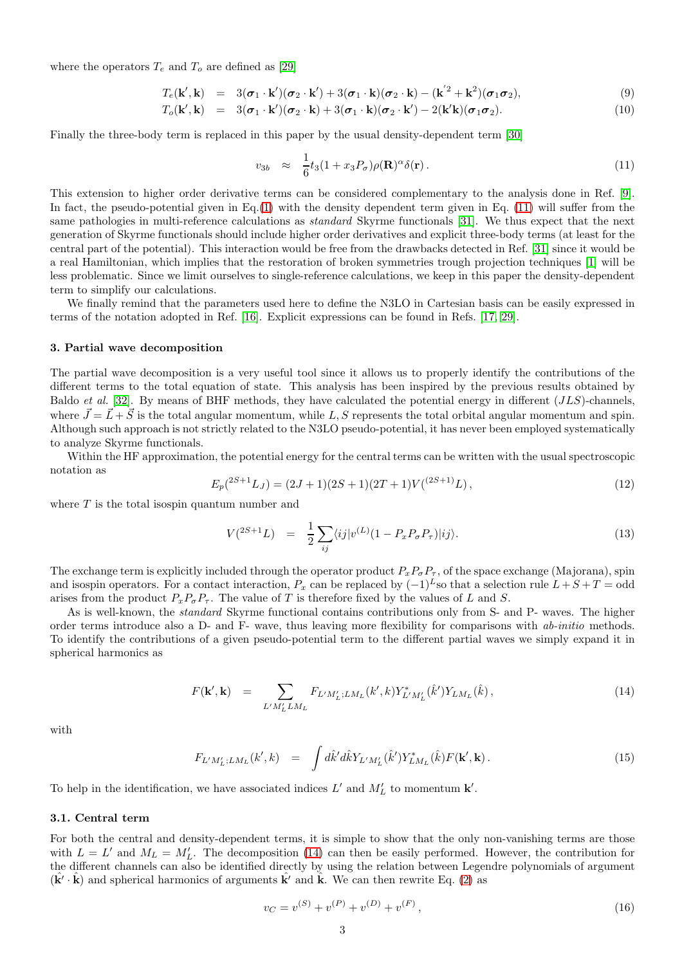where the operators  $T_e$  and  $T_o$  are defined as [\[29\]](#page-6-23)

$$
T_e(\mathbf{k}',\mathbf{k}) = 3(\boldsymbol{\sigma}_1 \cdot \mathbf{k}')(\boldsymbol{\sigma}_2 \cdot \mathbf{k}') + 3(\boldsymbol{\sigma}_1 \cdot \mathbf{k})(\boldsymbol{\sigma}_2 \cdot \mathbf{k}) - (\mathbf{k}'^2 + \mathbf{k}^2)(\boldsymbol{\sigma}_1 \boldsymbol{\sigma}_2),
$$
\n(9)

$$
T_o(\mathbf{k}', \mathbf{k}) = 3(\boldsymbol{\sigma}_1 \cdot \mathbf{k}')(\boldsymbol{\sigma}_2 \cdot \mathbf{k}) + 3(\boldsymbol{\sigma}_1 \cdot \mathbf{k})(\boldsymbol{\sigma}_2 \cdot \mathbf{k}') - 2(\mathbf{k}'\mathbf{k})(\boldsymbol{\sigma}_1 \boldsymbol{\sigma}_2). \tag{10}
$$

Finally the three-body term is replaced in this paper by the usual density-dependent term [\[30\]](#page-6-24)

<span id="page-2-1"></span>
$$
v_{3b} \approx \frac{1}{6}t_3(1+x_3P_\sigma)\rho(\mathbf{R})^\alpha\delta(\mathbf{r}).\tag{11}
$$

This extension to higher order derivative terms can be considered complementary to the analysis done in Ref. [\[9\]](#page-6-3). In fact, the pseudo-potential given in Eq.[\(1\)](#page-1-1) with the density dependent term given in Eq. [\(11\)](#page-2-1) will suffer from the same pathologies in multi-reference calculations as *standard* Skyrme functionals [\[31\]](#page-6-25). We thus expect that the next generation of Skyrme functionals should include higher order derivatives and explicit three-body terms (at least for the central part of the potential). This interaction would be free from the drawbacks detected in Ref. [\[31\]](#page-6-25) since it would be a real Hamiltonian, which implies that the restoration of broken symmetries trough projection techniques [\[1\]](#page-5-0) will be less problematic. Since we limit ourselves to single-reference calculations, we keep in this paper the density-dependent term to simplify our calculations.

We finally remind that the parameters used here to define the N3LO in Cartesian basis can be easily expressed in terms of the notation adopted in Ref. [\[16\]](#page-6-10). Explicit expressions can be found in Refs. [\[17,](#page-6-11) [29\]](#page-6-23).

#### <span id="page-2-0"></span>3. Partial wave decomposition

The partial wave decomposition is a very useful tool since it allows us to properly identify the contributions of the different terms to the total equation of state. This analysis has been inspired by the previous results obtained by Baldo *et al.* [\[32\]](#page-6-26). By means of BHF methods, they have calculated the potential energy in different (JLS)-channels, where  $\vec{J} = \vec{L} + \vec{S}$  is the total angular momentum, while L, S represents the total orbital angular momentum and spin. Although such approach is not strictly related to the N3LO pseudo-potential, it has never been employed systematically to analyze Skyrme functionals.

Within the HF approximation, the potential energy for the central terms can be written with the usual spectroscopic notation as

<span id="page-2-3"></span>
$$
E_p(^{2S+1}L_J) = (2J+1)(2S+1)(2T+1)V(^{(2S+1)}L),\tag{12}
$$

where  $T$  is the total isospin quantum number and

<span id="page-2-4"></span>
$$
V(^{2S+1}L) = \frac{1}{2} \sum_{ij} \langle ij | v^{(L)} (1 - P_x P_\sigma P_\tau) | ij \rangle.
$$
 (13)

The exchange term is explicitly included through the operator product  $P_xP_\sigma P_\tau$ , of the space exchange (Majorana), spin and isospin operators. For a contact interaction,  $P_x$  can be replaced by  $(-1)^L$  so that a selection rule  $L + S + T =$ odd arises from the product  $P_xP_{\sigma}P_{\tau}$ . The value of T is therefore fixed by the values of L and S.

As is well-known, the *standard* Skyrme functional contains contributions only from S- and P- waves. The higher order terms introduce also a D- and F- wave, thus leaving more flexibility for comparisons with *ab-initio* methods. To identify the contributions of a given pseudo-potential term to the different partial waves we simply expand it in spherical harmonics as

<span id="page-2-2"></span>
$$
F(\mathbf{k}', \mathbf{k}) = \sum_{L'M'_{L}LM_{L}} F_{L'M'_{L};LM_{L}}(k',k) Y^{*}_{L'M'_{L}}(\hat{k}') Y_{LM_{L}}(\hat{k}), \qquad (14)
$$

with

$$
F_{L'M'_{L};LM_{L}}(k',k) = \int d\hat{k}' d\hat{k} Y_{L'M'_{L}}(\hat{k}') Y^{*}_{LM_{L}}(\hat{k}) F(\mathbf{k}',\mathbf{k}). \qquad (15)
$$

To help in the identification, we have associated indices  $L'$  and  $M'_{L}$  to momentum **k**'.

### 3.1. Central term

For both the central and density-dependent terms, it is simple to show that the only non-vanishing terms are those with  $L = L'$  and  $M_L = M'_L$ . The decomposition [\(14\)](#page-2-2) can then be easily performed. However, the contribution for the different channels can also be identified directly by using the relation between Legendre polynomials of argument  $(\hat{\mathbf{k}}' \cdot \hat{\mathbf{k}})$  and spherical harmonics of arguments  $\hat{\mathbf{k}}'$  and  $\hat{\mathbf{k}}$ . We can then rewrite Eq. [\(2\)](#page-1-2) as

$$
v_C = v^{(S)} + v^{(P)} + v^{(D)} + v^{(F)},
$$
\n(16)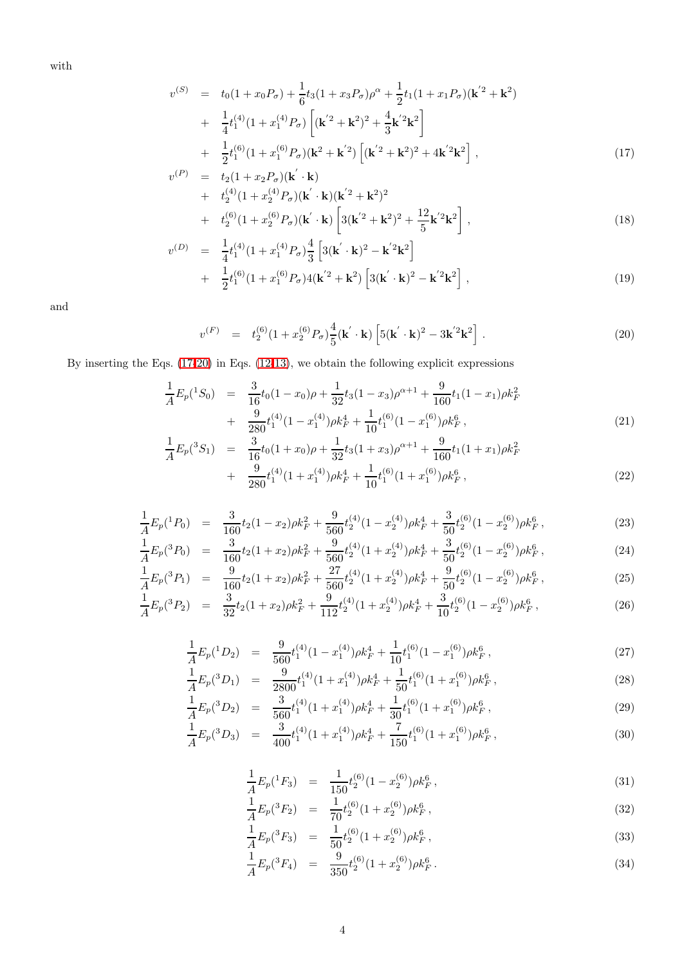with

<span id="page-3-0"></span>
$$
v^{(S)} = t_0(1+x_0P_\sigma) + \frac{1}{6}t_3(1+x_3P_\sigma)\rho^\alpha + \frac{1}{2}t_1(1+x_1P_\sigma)(\mathbf{k}^{'2} + \mathbf{k}^2) + \frac{1}{4}t_1^{(4)}(1+x_1^{(4)}P_\sigma)\left[(\mathbf{k}^{'2} + \mathbf{k}^2)^2 + \frac{4}{3}\mathbf{k}^{'2}\mathbf{k}^2\right] + \frac{1}{2}t_1^{(6)}(1+x_1^{(6)}P_\sigma)(\mathbf{k}^2 + \mathbf{k}^{'2})\left[(\mathbf{k}^{'2} + \mathbf{k}^2)^2 + 4\mathbf{k}^{'2}\mathbf{k}^2\right],
$$
\n(17)

$$
v^{(P)} = t_2(1 + x_2 P_{\sigma})(\mathbf{k}' \cdot \mathbf{k}) + t_2^{(4)}(1 + x_2^{(4)} P_{\sigma})(\mathbf{k}' \cdot \mathbf{k})(\mathbf{k}'^2 + \mathbf{k}^2)^2 + t_2^{(6)}(1 + x_2^{(6)} P_{\sigma})(\mathbf{k}' \cdot \mathbf{k}) \left[3(\mathbf{k}'^2 + \mathbf{k}^2)^2 + \frac{12}{5}\mathbf{k}'^2 \mathbf{k}^2\right],
$$
\n(18)

$$
v^{(D)} = \frac{1}{4}t_1^{(4)}(1+x_1^{(4)}P_{\sigma})\frac{4}{3}\left[3(\mathbf{k}'\cdot\mathbf{k})^2 - \mathbf{k}'^2\mathbf{k}^2\right] + \frac{1}{2}t_1^{(6)}(1+x_1^{(6)}P_{\sigma})4(\mathbf{k}'^2+\mathbf{k}^2)\left[3(\mathbf{k}'\cdot\mathbf{k})^2 - \mathbf{k}'^2\mathbf{k}^2\right],
$$
(19)

and

<span id="page-3-1"></span>
$$
v^{(F)} = t_2^{(6)}(1+x_2^{(6)}P_\sigma)\frac{4}{5}(\mathbf{k}'\cdot\mathbf{k})\left[5(\mathbf{k}'\cdot\mathbf{k})^2 - 3\mathbf{k}'^2\mathbf{k}^2\right].
$$
 (20)

By inserting the Eqs. [\(17](#page-3-0)[-20\)](#page-3-1) in Eqs. [\(12-](#page-2-3)[13\)](#page-2-4), we obtain the following explicit expressions

$$
\frac{1}{A}E_p(^1S_0) = \frac{3}{16}t_0(1-x_0)\rho + \frac{1}{32}t_3(1-x_3)\rho^{\alpha+1} + \frac{9}{160}t_1(1-x_1)\rho k_F^2 \n+ \frac{9}{280}t_1^{(4)}(1-x_1^{(4)})\rho k_F^4 + \frac{1}{10}t_1^{(6)}(1-x_1^{(6)})\rho k_F^6,
$$
\n(21)

$$
\frac{1}{A}E_p(^{3}S_1) = \frac{3}{16}t_0(1+x_0)\rho + \frac{1}{32}t_3(1+x_3)\rho^{\alpha+1} + \frac{9}{160}t_1(1+x_1)\rho k_F^2 \n+ \frac{9}{280}t_1^{(4)}(1+x_1^{(4)})\rho k_F^4 + \frac{1}{10}t_1^{(6)}(1+x_1^{(6)})\rho k_F^6,
$$
\n(22)

$$
\frac{1}{A}E_p(^1P_0) = \frac{3}{160}t_2(1-x_2)\rho k_F^2 + \frac{9}{560}t_2^{(4)}(1-x_2^{(4)})\rho k_F^4 + \frac{3}{50}t_2^{(6)}(1-x_2^{(6)})\rho k_F^6,
$$
\n(23)

$$
\frac{1}{A}E_p(^3P_0) = \frac{3}{160}t_2(1+x_2)\rho k_F^2 + \frac{9}{560}t_2^{(4)}(1+x_2^{(4)})\rho k_F^4 + \frac{3}{50}t_2^{(6)}(1-x_2^{(6)})\rho k_F^6,
$$
\n(24)

$$
\frac{1}{A}E_p(^3P_1) = \frac{9}{160}t_2(1+x_2)\rho k_F^2 + \frac{27}{560}t_2^{(4)}(1+x_2^{(4)})\rho k_F^4 + \frac{9}{50}t_2^{(6)}(1-x_2^{(6)})\rho k_F^6,
$$
\n(25)

$$
\frac{1}{A}E_p(^3P_2) = \frac{3}{32}t_2(1+x_2)\rho k_F^2 + \frac{9}{112}t_2^{(4)}(1+x_2^{(4)})\rho k_F^4 + \frac{3}{10}t_2^{(6)}(1-x_2^{(6)})\rho k_F^6\,,\tag{26}
$$

$$
\frac{1}{A}E_p(^{1}D_2) = \frac{9}{560}t_1^{(4)}(1-x_1^{(4)})\rho k_F^4 + \frac{1}{10}t_1^{(6)}(1-x_1^{(6)})\rho k_F^6,
$$
\n
$$
\frac{1}{100}t_1^{(4)}(1-x_1^{(4)})\rho k_F^4 + \frac{1}{100}t_1^{(6)}(1-x_1^{(6)})\rho k_F^6,
$$
\n
$$
(27)
$$

$$
\frac{1}{A}E_p(^{3}D_1) = \frac{9}{2800}t_1^{(4)}(1+x_1^{(4)})\rho k_F^4 + \frac{1}{50}t_1^{(6)}(1+x_1^{(6)})\rho k_F^6,
$$
\n
$$
\frac{1}{A}E_p(^{3}D_1) = \frac{3}{3}t_1^{(4)}(1+x_1^{(4)})\rho k_F^4 + \frac{1}{50}t_1^{(6)}(1+x_1^{(6)})\rho k_F^6,
$$
\n
$$
(28)
$$

$$
\frac{1}{A}E_p(^3D_2) = \frac{3}{560}t_1^{(4)}(1+x_1^{(4)})\rho k_F^4 + \frac{1}{30}t_1^{(6)}(1+x_1^{(6)})\rho k_F^6,
$$
\n(29)

$$
\frac{1}{A}E_p(^3D_3) = \frac{3}{400}t_1^{(4)}(1+x_1^{(4)})\rho k_F^4 + \frac{7}{150}t_1^{(6)}(1+x_1^{(6)})\rho k_F^6\,,\tag{30}
$$

$$
\frac{1}{A}E_p(^1F_3) = \frac{1}{150}t_2^{(6)}(1-x_2^{(6)})\rho k_F^6\,,\tag{31}
$$

$$
\frac{1}{A}E_p(^3F_2) = \frac{1}{70}t_2^{(6)}(1+x_2^{(6)})\rho k_F^6\,,\tag{32}
$$

$$
\frac{1}{A}E_p(^3F_3) = \frac{1}{50}t_2^{(6)}(1+x_2^{(6)})\rho k_F^6,
$$
\n(33)

$$
\frac{1}{A}E_p(^3F_4) = \frac{9}{350}t_2^{(6)}(1+x_2^{(6)})\rho k_F^6.
$$
\n(34)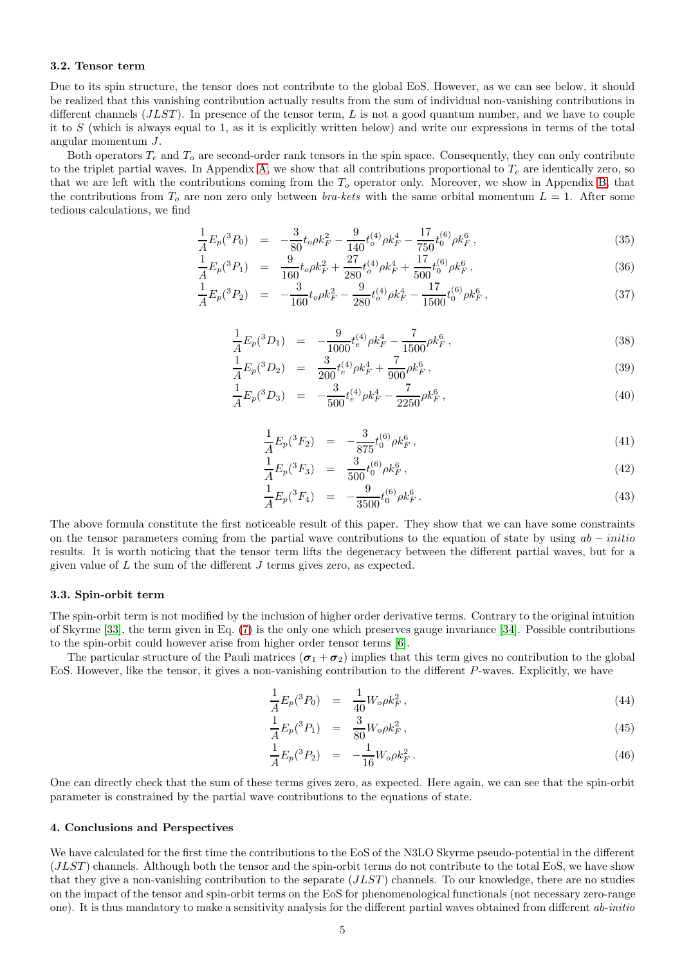#### 3.2. Tensor term

Due to its spin structure, the tensor does not contribute to the global EoS. However, as we can see below, it should be realized that this vanishing contribution actually results from the sum of individual non-vanishing contributions in different channels  $(JLST)$ . In presence of the tensor term, L is not a good quantum number, and we have to couple it to  $S$  (which is always equal to 1, as it is explicitly written below) and write our expressions in terms of the total angular momentum J.

Both operators  $T_e$  and  $T_o$  are second-order rank tensors in the spin space. Consequently, they can only contribute to the triplet partial waves. In Appendix [A,](#page-5-5) we show that all contributions proportional to  $T_e$  are identically zero, so that we are left with the contributions coming from the  $T<sub>o</sub>$  operator only. Moreover, we show in Appendix [B,](#page-5-6) that the contributions from  $T<sub>o</sub>$  are non zero only between *bra-kets* with the same orbital momentum  $L = 1$ . After some tedious calculations, we find

$$
\frac{1}{A}E_p(^3P_0) = -\frac{3}{80}t_o\rho k_F^2 - \frac{9}{140}t_o^{(4)}\rho k_F^4 - \frac{17}{750}t_0^{(6)}\rho k_F^6\,,\tag{35}
$$

$$
\frac{1}{A}E_p(^3P_1) = \frac{9}{160}t_o\rho k_F^2 + \frac{27}{280}t_o^{(4)}\rho k_F^4 + \frac{17}{500}t_0^{(6)}\rho k_F^6\,,\tag{36}
$$

$$
\frac{1}{A}E_p(^3P_2) = -\frac{3}{160}t_o\rho k_F^2 - \frac{9}{280}t_o^{(4)}\rho k_F^4 - \frac{17}{1500}t_0^{(6)}\rho k_F^6\,,\tag{37}
$$

$$
\frac{1}{A}E_p(^3D_1) = -\frac{9}{1000}t_e^{(4)}\rho k_F^4 - \frac{7}{1500}\rho k_F^6,
$$
\n(38)

$$
\frac{1}{A}E_p(^3D_2) = \frac{3}{200}t_e^{(4)}\rho k_F^4 + \frac{7}{900}\rho k_F^6\,,\tag{39}
$$

$$
\frac{1}{A}E_p(^3D_3) = -\frac{3}{500}t_e^{(4)}\rho k_F^4 - \frac{7}{2250}\rho k_F^6\,,\tag{40}
$$

$$
\frac{1}{A}E_p(^3F_2) = -\frac{3}{875}t_0^{(6)}\rho k_F^6\,,\tag{41}
$$

$$
\frac{1}{A}E_p(^3F_3) = \frac{3}{500}t_0^{(6)}\rho k_F^6\,,\tag{42}
$$

$$
\frac{1}{A}E_p(^3F_4) = -\frac{9}{3500}t_0^{(6)}\rho k_F^6.
$$
\n(43)

The above formula constitute the first noticeable result of this paper. They show that we can have some constraints on the tensor parameters coming from the partial wave contributions to the equation of state by using  $ab - initio$ results. It is worth noticing that the tensor term lifts the degeneracy between the different partial waves, but for a given value of  $L$  the sum of the different  $J$  terms gives zero, as expected.

## 3.3. Spin-orbit term

The spin-orbit term is not modified by the inclusion of higher order derivative terms. Contrary to the original intuition of Skyrme [\[33\]](#page-6-27), the term given in Eq. [\(7\)](#page-1-3) is the only one which preserves gauge invariance [\[34\]](#page-6-28). Possible contributions to the spin-orbit could however arise from higher order tensor terms [\[6\]](#page-6-0).

The particular structure of the Pauli matrices  $(\sigma_1 + \sigma_2)$  implies that this term gives no contribution to the global EoS. However, like the tensor, it gives a non-vanishing contribution to the different P-waves. Explicitly, we have

$$
\frac{1}{A}E_p(^3P_0) = \frac{1}{40}W_o \rho k_F^2, \qquad (44)
$$

$$
\frac{1}{A}E_p(^3P_1) = \frac{3}{80}W_o \rho k_F^2, \qquad (45)
$$

$$
\frac{1}{A}E_p(^3P_2) = -\frac{1}{16}W_o \rho k_F^2.
$$
\n(46)

One can directly check that the sum of these terms gives zero, as expected. Here again, we can see that the spin-orbit parameter is constrained by the partial wave contributions to the equations of state.

#### <span id="page-4-0"></span>4. Conclusions and Perspectives

We have calculated for the first time the contributions to the EoS of the N3LO Skyrme pseudo-potential in the different (JLST ) channels. Although both the tensor and the spin-orbit terms do not contribute to the total EoS, we have show that they give a non-vanishing contribution to the separate  $(JLST)$  channels. To our knowledge, there are no studies on the impact of the tensor and spin-orbit terms on the EoS for phenomenological functionals (not necessary zero-range one). It is thus mandatory to make a sensitivity analysis for the different partial waves obtained from different *ab-initio*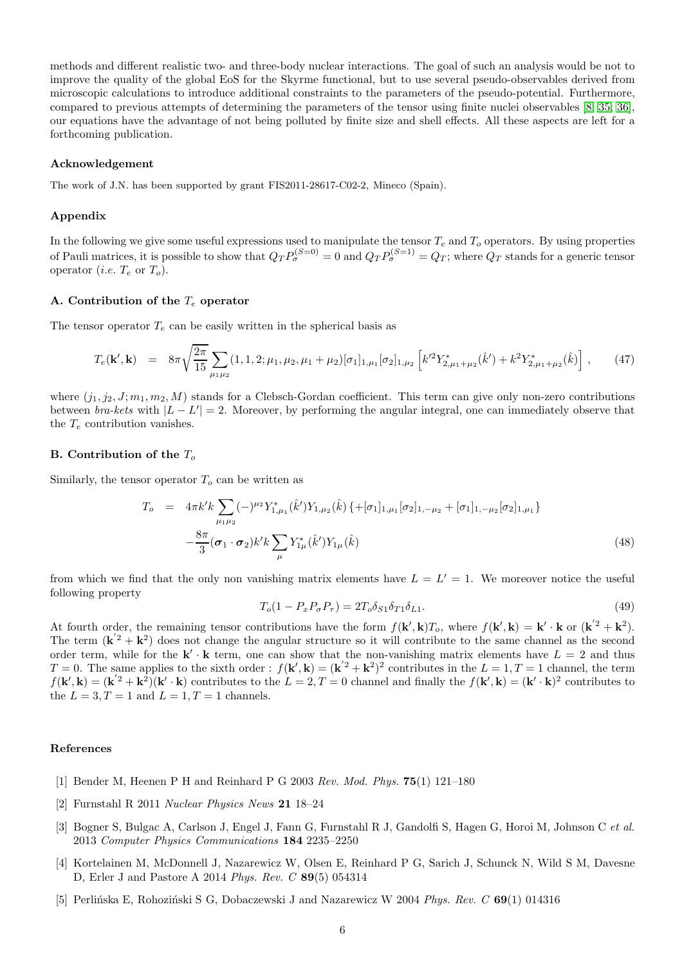methods and different realistic two- and three-body nuclear interactions. The goal of such an analysis would be not to improve the quality of the global EoS for the Skyrme functional, but to use several pseudo-observables derived from microscopic calculations to introduce additional constraints to the parameters of the pseudo-potential. Furthermore, compared to previous attempts of determining the parameters of the tensor using finite nuclei observables [\[8,](#page-6-2) [35,](#page-6-29) [36\]](#page-6-30), our equations have the advantage of not being polluted by finite size and shell effects. All these aspects are left for a forthcoming publication.

#### Acknowledgement

The work of J.N. has been supported by grant FIS2011-28617-C02-2, Mineco (Spain).

#### Appendix

In the following we give some useful expressions used to manipulate the tensor  $T_e$  and  $T_o$  operators. By using properties of Pauli matrices, it is possible to show that  $Q_T P_{\sigma}^{(S=0)} = 0$  and  $Q_T P_{\sigma}^{(S=1)} = Q_T$ ; where  $Q_T$  stands for a generic tensor operator (*i.e.*  $T_e$  or  $T_o$ ).

## <span id="page-5-5"></span>A. Contribution of the  $T_e$  operator

The tensor operator  $T_e$  can be easily written in the spherical basis as

$$
T_e(\mathbf{k}',\mathbf{k}) = 8\pi \sqrt{\frac{2\pi}{15}} \sum_{\mu_1\mu_2} (1,1,2;\mu_1,\mu_2,\mu_1+\mu_2) [\sigma_1]_{1,\mu_1} [\sigma_2]_{1,\mu_2} \left[ k'^2 Y^*_{2,\mu_1+\mu_2}(\hat{k}') + k^2 Y^*_{2,\mu_1+\mu_2}(\hat{k}) \right], \quad (47)
$$

where  $(j_1, j_2, J; m_1, m_2, M)$  stands for a Clebsch-Gordan coefficient. This term can give only non-zero contributions between *bra-kets* with  $|L - L'| = 2$ . Moreover, by performing the angular integral, one can immediately observe that the  $T_e$  contribution vanishes.

## <span id="page-5-6"></span>B. Contribution of the  $T<sub>o</sub>$

Similarly, the tensor operator  $T<sub>o</sub>$  can be written as

$$
T_o = 4\pi k' k \sum_{\mu_1\mu_2} (-)^{\mu_2} Y_{1,\mu_1}^*(\hat{k}') Y_{1,\mu_2}(\hat{k}) \left\{ + [\sigma_1]_{1,\mu_1} [\sigma_2]_{1,-\mu_2} + [\sigma_1]_{1,-\mu_2} [\sigma_2]_{1,\mu_1} \right\} - \frac{8\pi}{3} (\sigma_1 \cdot \sigma_2) k' k \sum_{\mu} Y_{1\mu}^*(\hat{k}') Y_{1\mu}(\hat{k})
$$
\n(48)

from which we find that the only non vanishing matrix elements have  $L = L' = 1$ . We moreover notice the useful following property

$$
T_o(1 - P_x P_\sigma P_\tau) = 2T_o \delta_{S1} \delta_{T1} \delta_{L1}.
$$
\n(49)

At fourth order, the remaining tensor contributions have the form  $f(\mathbf{k}', \mathbf{k})T_o$ , where  $f(\mathbf{k}', \mathbf{k}) = \mathbf{k}' \cdot \mathbf{k}$  or  $(\mathbf{k}'^2 + \mathbf{k}^2)$ . The term  $(\mathbf{k}'^2 + \mathbf{k}^2)$  does not change the angular structure so it will contribute to the same channel as the second order term, while for the  $\mathbf{k}' \cdot \mathbf{k}$  term, one can show that the non-vanishing matrix elements have  $L = 2$  and thus  $T=0$ . The same applies to the sixth order :  $f(\mathbf{k}',\mathbf{k}) = (\mathbf{k}'^2 + \mathbf{k}^2)^2$  contributes in the  $L=1, T=1$  channel, the term  $f(\mathbf{k}',\mathbf{k}) = (\mathbf{k}'^2 + \mathbf{k}^2)(\mathbf{k}' \cdot \mathbf{k})$  contributes to the  $L = 2, T = 0$  channel and finally the  $f(\mathbf{k}',\mathbf{k}) = (\mathbf{k}' \cdot \mathbf{k})^2$  contributes to the  $L = 3, T = 1$  and  $L = 1, T = 1$  channels.

#### <span id="page-5-0"></span>References

- <span id="page-5-1"></span>[1] Bender M, Heenen P H and Reinhard P G 2003 *Rev. Mod. Phys.* 75(1) 121–180
- <span id="page-5-2"></span>[2] Furnstahl R 2011 *Nuclear Physics News* 21 18–24
- [3] Bogner S, Bulgac A, Carlson J, Engel J, Fann G, Furnstahl R J, Gandolfi S, Hagen G, Horoi M, Johnson C *et al.* 2013 *Computer Physics Communications* 184 2235–2250
- <span id="page-5-3"></span>[4] Kortelainen M, McDonnell J, Nazarewicz W, Olsen E, Reinhard P G, Sarich J, Schunck N, Wild S M, Davesne D, Erler J and Pastore A 2014 *Phys. Rev. C* 89(5) 054314
- <span id="page-5-4"></span>[5] Perlińska E, Rohoziński S G, Dobaczewski J and Nazarewicz W 2004 Phys. Rev. C 69(1) 014316